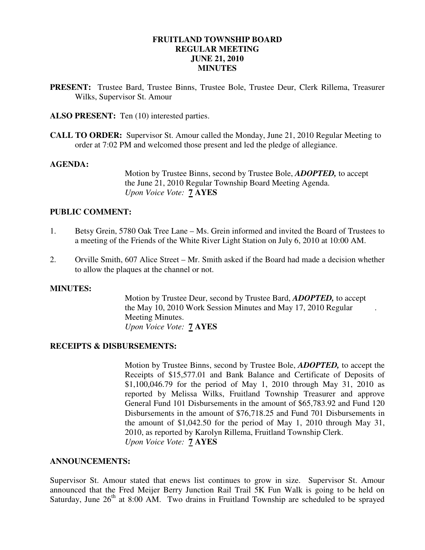# **FRUITLAND TOWNSHIP BOARD REGULAR MEETING JUNE 21, 2010 MINUTES**

- **PRESENT:** Trustee Bard, Trustee Binns, Trustee Bole, Trustee Deur, Clerk Rillema, Treasurer Wilks, Supervisor St. Amour
- ALSO PRESENT: Ten (10) interested parties.
- **CALL TO ORDER:** Supervisor St. Amour called the Monday, June 21, 2010 Regular Meeting to order at 7:02 PM and welcomed those present and led the pledge of allegiance.

## **AGENDA:**

 Motion by Trustee Binns, second by Trustee Bole, *ADOPTED,* to accept the June 21, 2010 Regular Township Board Meeting Agenda. *Upon Voice Vote:* **7 AYES** 

## **PUBLIC COMMENT:**

- 1. Betsy Grein, 5780 Oak Tree Lane Ms. Grein informed and invited the Board of Trustees to a meeting of the Friends of the White River Light Station on July 6, 2010 at 10:00 AM.
- 2. Orville Smith, 607 Alice Street Mr. Smith asked if the Board had made a decision whether to allow the plaques at the channel or not.

## **MINUTES:**

Motion by Trustee Deur, second by Trustee Bard, *ADOPTED,* to accept the May 10, 2010 Work Session Minutes and May 17, 2010 Regular . Meeting Minutes. *Upon Voice Vote:* **7 AYES** 

## **RECEIPTS & DISBURSEMENTS:**

Motion by Trustee Binns, second by Trustee Bole, *ADOPTED,* to accept the Receipts of \$15,577.01 and Bank Balance and Certificate of Deposits of \$1,100,046.79 for the period of May 1, 2010 through May 31, 2010 as reported by Melissa Wilks, Fruitland Township Treasurer and approve General Fund 101 Disbursements in the amount of \$65,783.92 and Fund 120 Disbursements in the amount of \$76,718.25 and Fund 701 Disbursements in the amount of \$1,042.50 for the period of May 1, 2010 through May 31, 2010, as reported by Karolyn Rillema, Fruitland Township Clerk. *Upon Voice Vote:* **7 AYES** 

## **ANNOUNCEMENTS:**

Supervisor St. Amour stated that enews list continues to grow in size. Supervisor St. Amour announced that the Fred Meijer Berry Junction Rail Trail 5K Fun Walk is going to be held on Saturday, June  $26<sup>th</sup>$  at 8:00 AM. Two drains in Fruitland Township are scheduled to be sprayed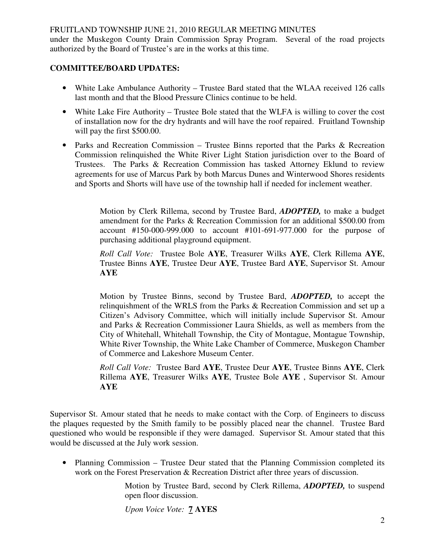under the Muskegon County Drain Commission Spray Program. Several of the road projects authorized by the Board of Trustee's are in the works at this time.

# **COMMITTEE/BOARD UPDATES:**

- White Lake Ambulance Authority Trustee Bard stated that the WLAA received 126 calls last month and that the Blood Pressure Clinics continue to be held.
- White Lake Fire Authority Trustee Bole stated that the WLFA is willing to cover the cost of installation now for the dry hydrants and will have the roof repaired. Fruitland Township will pay the first \$500.00.
- Parks and Recreation Commission Trustee Binns reported that the Parks & Recreation Commission relinquished the White River Light Station jurisdiction over to the Board of Trustees. The Parks & Recreation Commission has tasked Attorney Eklund to review agreements for use of Marcus Park by both Marcus Dunes and Winterwood Shores residents and Sports and Shorts will have use of the township hall if needed for inclement weather.

Motion by Clerk Rillema, second by Trustee Bard, *ADOPTED,* to make a budget amendment for the Parks & Recreation Commission for an additional \$500.00 from account #150-000-999.000 to account #101-691-977.000 for the purpose of purchasing additional playground equipment.

*Roll Call Vote:* Trustee Bole **AYE**, Treasurer Wilks **AYE**, Clerk Rillema **AYE**, Trustee Binns **AYE**, Trustee Deur **AYE**, Trustee Bard **AYE**, Supervisor St. Amour **AYE**

Motion by Trustee Binns, second by Trustee Bard, *ADOPTED,* to accept the relinquishment of the WRLS from the Parks & Recreation Commission and set up a Citizen's Advisory Committee, which will initially include Supervisor St. Amour and Parks & Recreation Commissioner Laura Shields, as well as members from the City of Whitehall, Whitehall Township, the City of Montague, Montague Township, White River Township, the White Lake Chamber of Commerce, Muskegon Chamber of Commerce and Lakeshore Museum Center.

*Roll Call Vote:* Trustee Bard **AYE**, Trustee Deur **AYE**, Trustee Binns **AYE**, Clerk Rillema **AYE**, Treasurer Wilks **AYE**, Trustee Bole **AYE** , Supervisor St. Amour **AYE**

Supervisor St. Amour stated that he needs to make contact with the Corp. of Engineers to discuss the plaques requested by the Smith family to be possibly placed near the channel. Trustee Bard questioned who would be responsible if they were damaged. Supervisor St. Amour stated that this would be discussed at the July work session.

• Planning Commission – Trustee Deur stated that the Planning Commission completed its work on the Forest Preservation & Recreation District after three years of discussion.

> Motion by Trustee Bard, second by Clerk Rillema, *ADOPTED,* to suspend open floor discussion.

*Upon Voice Vote:* **7 AYES**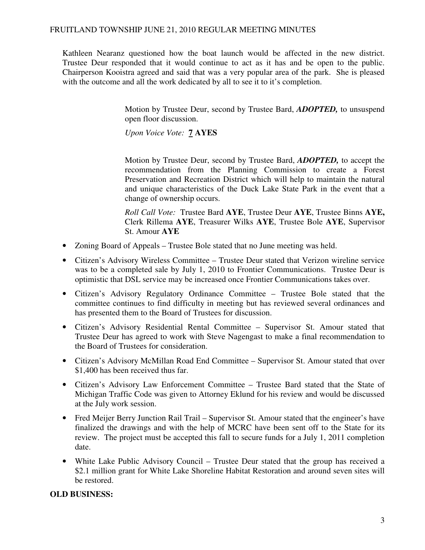Kathleen Nearanz questioned how the boat launch would be affected in the new district. Trustee Deur responded that it would continue to act as it has and be open to the public. Chairperson Kooistra agreed and said that was a very popular area of the park. She is pleased with the outcome and all the work dedicated by all to see it to it's completion.

> Motion by Trustee Deur, second by Trustee Bard, *ADOPTED,* to unsuspend open floor discussion.

*Upon Voice Vote:* **7 AYES** 

 Motion by Trustee Deur, second by Trustee Bard, *ADOPTED,* to accept the recommendation from the Planning Commission to create a Forest Preservation and Recreation District which will help to maintain the natural and unique characteristics of the Duck Lake State Park in the event that a change of ownership occurs.

 *Roll Call Vote:* Trustee Bard **AYE**, Trustee Deur **AYE**, Trustee Binns **AYE,**  Clerk Rillema **AYE**, Treasurer Wilks **AYE**, Trustee Bole **AYE**, Supervisor St. Amour **AYE** 

- Zoning Board of Appeals Trustee Bole stated that no June meeting was held.
- Citizen's Advisory Wireless Committee Trustee Deur stated that Verizon wireline service was to be a completed sale by July 1, 2010 to Frontier Communications. Trustee Deur is optimistic that DSL service may be increased once Frontier Communications takes over.
- Citizen's Advisory Regulatory Ordinance Committee Trustee Bole stated that the committee continues to find difficulty in meeting but has reviewed several ordinances and has presented them to the Board of Trustees for discussion.
- Citizen's Advisory Residential Rental Committee Supervisor St. Amour stated that Trustee Deur has agreed to work with Steve Nagengast to make a final recommendation to the Board of Trustees for consideration.
- Citizen's Advisory McMillan Road End Committee Supervisor St. Amour stated that over \$1,400 has been received thus far.
- Citizen's Advisory Law Enforcement Committee Trustee Bard stated that the State of Michigan Traffic Code was given to Attorney Eklund for his review and would be discussed at the July work session.
- Fred Meijer Berry Junction Rail Trail Supervisor St. Amour stated that the engineer's have finalized the drawings and with the help of MCRC have been sent off to the State for its review. The project must be accepted this fall to secure funds for a July 1, 2011 completion date.
- White Lake Public Advisory Council Trustee Deur stated that the group has received a \$2.1 million grant for White Lake Shoreline Habitat Restoration and around seven sites will be restored.

## **OLD BUSINESS:**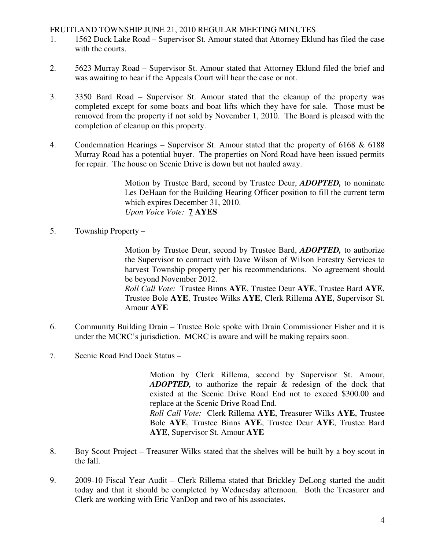- 1. 1562 Duck Lake Road Supervisor St. Amour stated that Attorney Eklund has filed the case with the courts.
- 2. 5623 Murray Road Supervisor St. Amour stated that Attorney Eklund filed the brief and was awaiting to hear if the Appeals Court will hear the case or not.
- 3. 3350 Bard Road Supervisor St. Amour stated that the cleanup of the property was completed except for some boats and boat lifts which they have for sale. Those must be removed from the property if not sold by November 1, 2010. The Board is pleased with the completion of cleanup on this property.
- 4. Condemnation Hearings Supervisor St. Amour stated that the property of 6168 & 6188 Murray Road has a potential buyer. The properties on Nord Road have been issued permits for repair. The house on Scenic Drive is down but not hauled away.

Motion by Trustee Bard, second by Trustee Deur, *ADOPTED,* to nominate Les DeHaan for the Building Hearing Officer position to fill the current term which expires December 31, 2010. *Upon Voice Vote:* **7 AYES** 

5. Township Property –

Motion by Trustee Deur, second by Trustee Bard, *ADOPTED,* to authorize the Supervisor to contract with Dave Wilson of Wilson Forestry Services to harvest Township property per his recommendations. No agreement should be beyond November 2012.

*Roll Call Vote:* Trustee Binns **AYE**, Trustee Deur **AYE**, Trustee Bard **AYE**, Trustee Bole **AYE**, Trustee Wilks **AYE**, Clerk Rillema **AYE**, Supervisor St. Amour **AYE**

- 6. Community Building Drain Trustee Bole spoke with Drain Commissioner Fisher and it is under the MCRC's jurisdiction. MCRC is aware and will be making repairs soon.
- 7. Scenic Road End Dock Status –

Motion by Clerk Rillema, second by Supervisor St. Amour, *ADOPTED,* to authorize the repair & redesign of the dock that existed at the Scenic Drive Road End not to exceed \$300.00 and replace at the Scenic Drive Road End. *Roll Call Vote:* Clerk Rillema **AYE**, Treasurer Wilks **AYE**, Trustee Bole **AYE**, Trustee Binns **AYE**, Trustee Deur **AYE**, Trustee Bard **AYE**, Supervisor St. Amour **AYE** 

- 8. Boy Scout Project Treasurer Wilks stated that the shelves will be built by a boy scout in the fall.
- 9. 2009-10 Fiscal Year Audit Clerk Rillema stated that Brickley DeLong started the audit today and that it should be completed by Wednesday afternoon. Both the Treasurer and Clerk are working with Eric VanDop and two of his associates.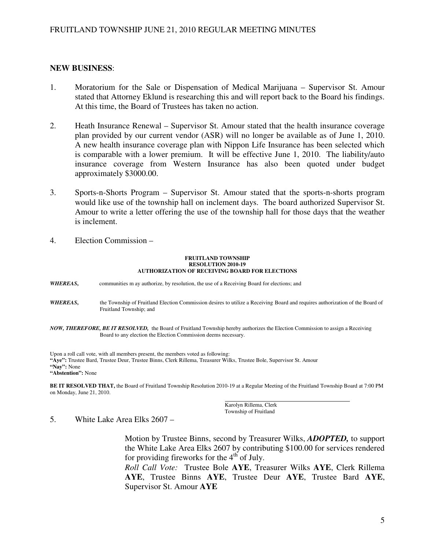## **NEW BUSINESS**:

- 1. Moratorium for the Sale or Dispensation of Medical Marijuana Supervisor St. Amour stated that Attorney Eklund is researching this and will report back to the Board his findings. At this time, the Board of Trustees has taken no action.
- 2. Heath Insurance Renewal Supervisor St. Amour stated that the health insurance coverage plan provided by our current vendor (ASR) will no longer be available as of June 1, 2010. A new health insurance coverage plan with Nippon Life Insurance has been selected which is comparable with a lower premium. It will be effective June 1, 2010. The liability/auto insurance coverage from Western Insurance has also been quoted under budget approximately \$3000.00.
- 3. Sports-n-Shorts Program Supervisor St. Amour stated that the sports-n-shorts program would like use of the township hall on inclement days. The board authorized Supervisor St. Amour to write a letter offering the use of the township hall for those days that the weather is inclement.
- 4. Election Commission –

#### **FRUITLAND TOWNSHIP RESOLUTION 2010-19 AUTHORIZATION OF RECEIVING BOARD FOR ELECTIONS**

*WHEREAS***,** communities m ay authorize, by resolution, the use of a Receiving Board for elections; and

- *WHEREAS***,** the Township of Fruitland Election Commission desires to utilize a Receiving Board and requires authorization of the Board of Fruitland Township; and
- *NOW, THEREFORE, BE IT RESOLVED,* the Board of Fruitland Township hereby authorizes the Election Commission to assign a Receiving Board to any election the Election Commission deems necessary.

Upon a roll call vote, with all members present, the members voted as following: **"Aye":** Trustee Bard, Trustee Deur, Trustee Binns, Clerk Rillema, Treasurer Wilks, Trustee Bole, Supervisor St. Amour **"Nay":** None **"Abstention":** None

**BE IT RESOLVED THAT,** the Board of Fruitland Township Resolution 2010-19 at a Regular Meeting of the Fruitland Township Board at 7:00 PM on Monday, June 21, 2010.

> Karolyn Rillema, Clerk Township of Fruitland

5. White Lake Area Elks 2607 –

Motion by Trustee Binns, second by Treasurer Wilks, *ADOPTED,* to support the White Lake Area Elks 2607 by contributing \$100.00 for services rendered for providing fireworks for the  $4<sup>th</sup>$  of July.

*Roll Call Vote:* Trustee Bole **AYE**, Treasurer Wilks **AYE**, Clerk Rillema **AYE**, Trustee Binns **AYE**, Trustee Deur **AYE**, Trustee Bard **AYE**, Supervisor St. Amour **AYE**